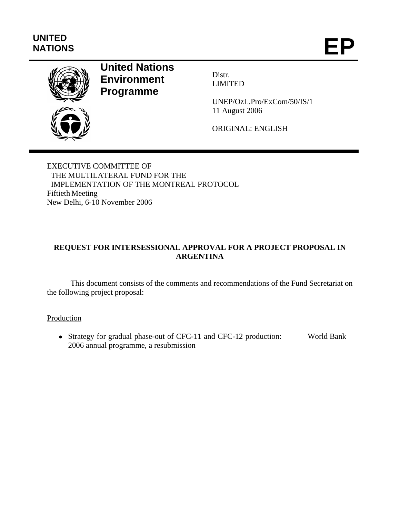# **UNITED**  UNITED<br>NATIONS **EP**



# **United Nations Environment Programme**

Distr. LIMITED

UNEP/OzL.Pro/ExCom/50/IS/1 11 August 2006

ORIGINAL: ENGLISH

EXECUTIVE COMMITTEE OF THE MULTILATERAL FUND FOR THE IMPLEMENTATION OF THE MONTREAL PROTOCOL Fiftieth Meeting New Delhi, 6-10 November 2006

## **REQUEST FOR INTERSESSIONAL APPROVAL FOR A PROJECT PROPOSAL IN ARGENTINA**

This document consists of the comments and recommendations of the Fund Secretariat on the following project proposal:

**Production** 

• Strategy for gradual phase-out of CFC-11 and CFC-12 production: 2006 annual programme, a resubmission World Bank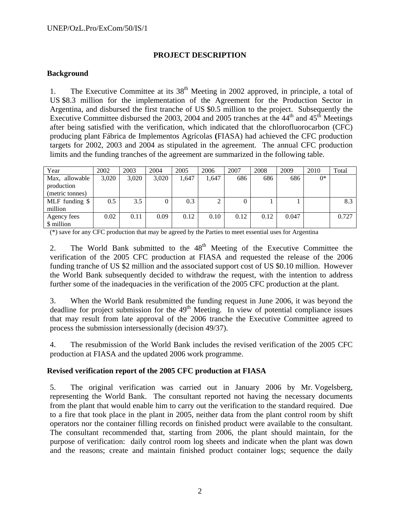#### **PROJECT DESCRIPTION**

#### **Background**

1. The Executive Committee at its  $38<sup>th</sup>$  Meeting in 2002 approved, in principle, a total of US \$8.3 million for the implementation of the Agreement for the Production Sector in Argentina, and disbursed the first tranche of US \$0.5 million to the project. Subsequently the Executive Committee disbursed the 2003, 2004 and 2005 tranches at the 44<sup>th</sup> and 45<sup>th</sup> Meetings after being satisfied with the verification, which indicated that the chlorofluorocarbon (CFC) producing plant Fábrica de Implementos Agrícolas **(**FIASA) had achieved the CFC production targets for 2002, 2003 and 2004 as stipulated in the agreement. The annual CFC production limits and the funding tranches of the agreement are summarized in the following table.

| Year            | 2002  | 2003  | 2004  | 2005  | 2006  | 2007 | 2008 | 2009  | 2010  | Total |
|-----------------|-------|-------|-------|-------|-------|------|------|-------|-------|-------|
| Max, allowable  | 3,020 | 3,020 | 3,020 | 1.647 | 1,647 | 686  | 686  | 686   | $0^*$ |       |
| production      |       |       |       |       |       |      |      |       |       |       |
| (metric tonnes) |       |       |       |       |       |      |      |       |       |       |
| MLF funding \$  | 0.5   | 3.5   |       | 0.3   |       | 0    |      |       |       | 8.3   |
| million         |       |       |       |       |       |      |      |       |       |       |
| Agency fees     | 0.02  | 0.11  | 0.09  | 0.12  | 0.10  | 0.12 | 0.12 | 0.047 |       | 0.727 |
| \$ million      |       |       |       |       |       |      |      |       |       |       |

(\*) save for any CFC production that may be agreed by the Parties to meet essential uses for Argentina

2. The World Bank submitted to the  $48<sup>th</sup>$  Meeting of the Executive Committee the verification of the 2005 CFC production at FIASA and requested the release of the 2006 funding tranche of US \$2 million and the associated support cost of US \$0.10 million. However the World Bank subsequently decided to withdraw the request, with the intention to address further some of the inadequacies in the verification of the 2005 CFC production at the plant.

3. When the World Bank resubmitted the funding request in June 2006, it was beyond the deadline for project submission for the  $49<sup>th</sup>$  Meeting. In view of potential compliance issues that may result from late approval of the 2006 tranche the Executive Committee agreed to process the submission intersessionally (decision 49/37).

4. The resubmission of the World Bank includes the revised verification of the 2005 CFC production at FIASA and the updated 2006 work programme.

#### **Revised verification report of the 2005 CFC production at FIASA**

5. The original verification was carried out in January 2006 by Mr. Vogelsberg, representing the World Bank. The consultant reported not having the necessary documents from the plant that would enable him to carry out the verification to the standard required. Due to a fire that took place in the plant in 2005, neither data from the plant control room by shift operators nor the container filling records on finished product were available to the consultant. The consultant recommended that, starting from 2006, the plant should maintain, for the purpose of verification: daily control room log sheets and indicate when the plant was down and the reasons; create and maintain finished product container logs; sequence the daily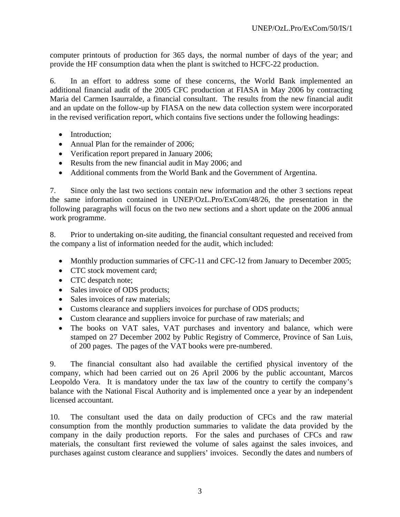computer printouts of production for 365 days, the normal number of days of the year; and provide the HF consumption data when the plant is switched to HCFC-22 production.

6. In an effort to address some of these concerns, the World Bank implemented an additional financial audit of the 2005 CFC production at FIASA in May 2006 by contracting Maria del Carmen Isaurralde, a financial consultant. The results from the new financial audit and an update on the follow-up by FIASA on the new data collection system were incorporated in the revised verification report, which contains five sections under the following headings:

- Introduction:
- Annual Plan for the remainder of 2006;
- Verification report prepared in January 2006;
- Results from the new financial audit in May 2006; and
- Additional comments from the World Bank and the Government of Argentina.

7. Since only the last two sections contain new information and the other 3 sections repeat the same information contained in UNEP/OzL.Pro/ExCom/48/26, the presentation in the following paragraphs will focus on the two new sections and a short update on the 2006 annual work programme.

8. Prior to undertaking on-site auditing, the financial consultant requested and received from the company a list of information needed for the audit, which included:

- Monthly production summaries of CFC-11 and CFC-12 from January to December 2005;
- CTC stock movement card:
- CTC despatch note;
- Sales invoice of ODS products;
- Sales invoices of raw materials;
- Customs clearance and suppliers invoices for purchase of ODS products;
- Custom clearance and suppliers invoice for purchase of raw materials; and
- The books on VAT sales, VAT purchases and inventory and balance, which were stamped on 27 December 2002 by Public Registry of Commerce, Province of San Luis, of 200 pages. The pages of the VAT books were pre-numbered.

9. The financial consultant also had available the certified physical inventory of the company, which had been carried out on 26 April 2006 by the public accountant, Marcos Leopoldo Vera. It is mandatory under the tax law of the country to certify the company's balance with the National Fiscal Authority and is implemented once a year by an independent licensed accountant.

10. The consultant used the data on daily production of CFCs and the raw material consumption from the monthly production summaries to validate the data provided by the company in the daily production reports. For the sales and purchases of CFCs and raw materials, the consultant first reviewed the volume of sales against the sales invoices, and purchases against custom clearance and suppliers' invoices. Secondly the dates and numbers of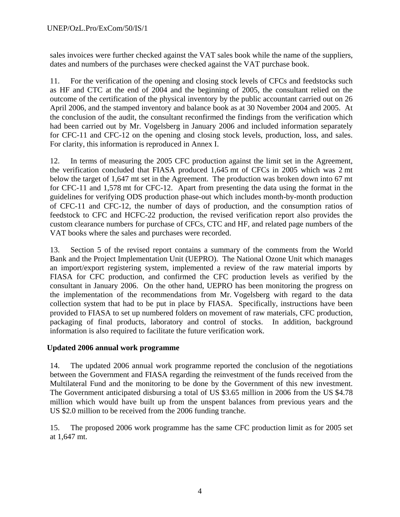sales invoices were further checked against the VAT sales book while the name of the suppliers, dates and numbers of the purchases were checked against the VAT purchase book.

11. For the verification of the opening and closing stock levels of CFCs and feedstocks such as HF and CTC at the end of 2004 and the beginning of 2005, the consultant relied on the outcome of the certification of the physical inventory by the public accountant carried out on 26 April 2006, and the stamped inventory and balance book as at 30 November 2004 and 2005. At the conclusion of the audit, the consultant reconfirmed the findings from the verification which had been carried out by Mr. Vogelsberg in January 2006 and included information separately for CFC-11 and CFC-12 on the opening and closing stock levels, production, loss, and sales. For clarity, this information is reproduced in Annex I.

12. In terms of measuring the 2005 CFC production against the limit set in the Agreement, the verification concluded that FIASA produced 1,645 mt of CFCs in 2005 which was 2 mt below the target of 1,647 mt set in the Agreement. The production was broken down into 67 mt for CFC-11 and 1,578 mt for CFC-12. Apart from presenting the data using the format in the guidelines for verifying ODS production phase-out which includes month-by-month production of CFC-11 and CFC-12, the number of days of production, and the consumption ratios of feedstock to CFC and HCFC-22 production, the revised verification report also provides the custom clearance numbers for purchase of CFCs, CTC and HF, and related page numbers of the VAT books where the sales and purchases were recorded.

13. Section 5 of the revised report contains a summary of the comments from the World Bank and the Project Implementation Unit (UEPRO). The National Ozone Unit which manages an import/export registering system, implemented a review of the raw material imports by FIASA for CFC production, and confirmed the CFC production levels as verified by the consultant in January 2006. On the other hand, UEPRO has been monitoring the progress on the implementation of the recommendations from Mr. Vogelsberg with regard to the data collection system that had to be put in place by FIASA. Specifically, instructions have been provided to FIASA to set up numbered folders on movement of raw materials, CFC production, packaging of final products, laboratory and control of stocks. In addition, background information is also required to facilitate the future verification work.

#### **Updated 2006 annual work programme**

14. The updated 2006 annual work programme reported the conclusion of the negotiations between the Government and FIASA regarding the reinvestment of the funds received from the Multilateral Fund and the monitoring to be done by the Government of this new investment. The Government anticipated disbursing a total of US \$3.65 million in 2006 from the US \$4.78 million which would have built up from the unspent balances from previous years and the US \$2.0 million to be received from the 2006 funding tranche.

15. The proposed 2006 work programme has the same CFC production limit as for 2005 set at 1,647 mt.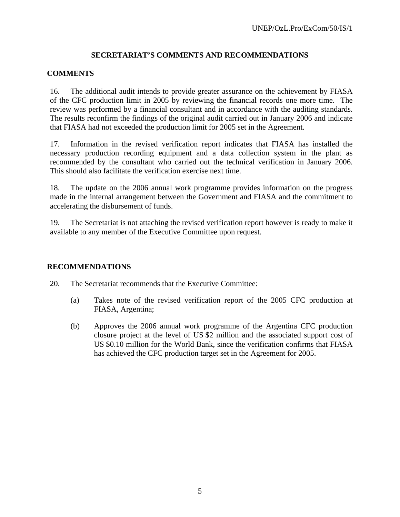#### **SECRETARIAT'S COMMENTS AND RECOMMENDATIONS**

#### **COMMENTS**

16. The additional audit intends to provide greater assurance on the achievement by FIASA of the CFC production limit in 2005 by reviewing the financial records one more time. The review was performed by a financial consultant and in accordance with the auditing standards. The results reconfirm the findings of the original audit carried out in January 2006 and indicate that FIASA had not exceeded the production limit for 2005 set in the Agreement.

17. Information in the revised verification report indicates that FIASA has installed the necessary production recording equipment and a data collection system in the plant as recommended by the consultant who carried out the technical verification in January 2006. This should also facilitate the verification exercise next time.

18. The update on the 2006 annual work programme provides information on the progress made in the internal arrangement between the Government and FIASA and the commitment to accelerating the disbursement of funds.

19. The Secretariat is not attaching the revised verification report however is ready to make it available to any member of the Executive Committee upon request.

#### **RECOMMENDATIONS**

20. The Secretariat recommends that the Executive Committee:

- (a) Takes note of the revised verification report of the 2005 CFC production at FIASA, Argentina;
- (b) Approves the 2006 annual work programme of the Argentina CFC production closure project at the level of US \$2 million and the associated support cost of US \$0.10 million for the World Bank, since the verification confirms that FIASA has achieved the CFC production target set in the Agreement for 2005.